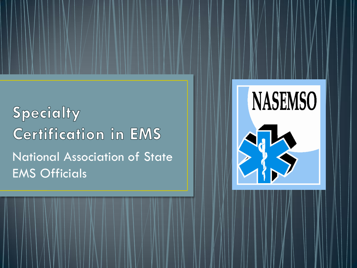**Specialty Certification in EMS** National Association of State EMS Officials



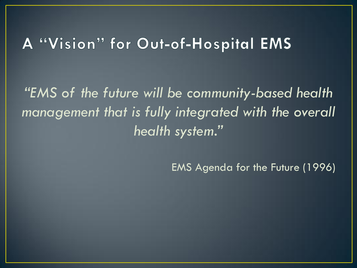#### A "Vision" for Out-of-Hospital EMS

*"EMS of the future will be community-based health management that is fully integrated with the overall health system."* 

EMS Agenda for the Future (1996)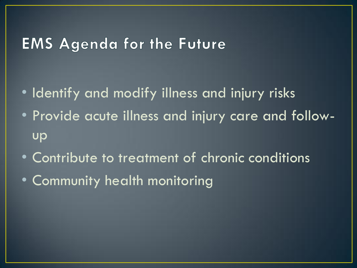#### **EMS Agenda for the Future**

- Identify and modify illness and injury risks
- Provide acute illness and injury care and followup
- Contribute to treatment of chronic conditions
- Community health monitoring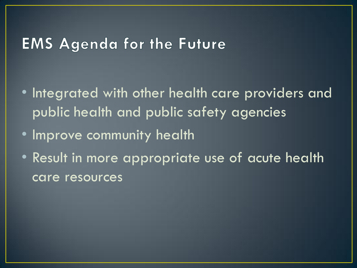#### **EMS Agenda for the Future**

- Integrated with other health care providers and public health and public safety agencies
- Improve community health
- Result in more appropriate use of acute health care resources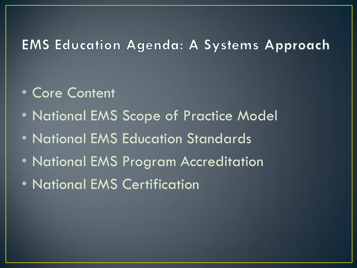#### **EMS Education Agenda: A Systems Approach**

- Core Content
- National EMS Scope of Practice Model
- National EMS Education Standards
- National EMS Program Accreditation
- National EMS Certification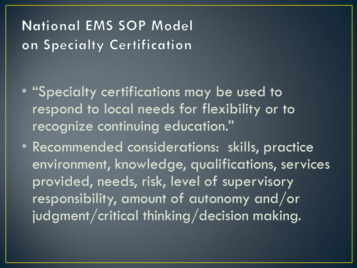### **National EMS SOP Model** on Specialty Certification

- "Specialty certifications may be used to respond to local needs for flexibility or to recognize continuing education."
- Recommended considerations: skills, practice environment, knowledge, qualifications, services provided, needs, risk, level of supervisory responsibility, amount of autonomy and/or judgment/critical thinking/decision making.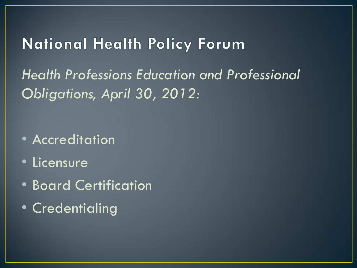#### **National Health Policy Forum**

*Health Professions Education and Professional Obligations, April 30, 2012:*

- Accreditation
- Licensure
- Board Certification
- Credentialing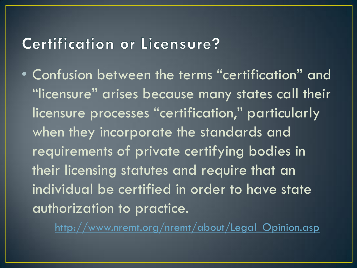# Certification or Licensure?

• Confusion between the terms "certification" and "licensure" arises because many states call their licensure processes "certification," particularly when they incorporate the standards and requirements of private certifying bodies in their licensing statutes and require that an individual be certified in order to have state authorization to practice.

http://www.nremt.org/nremt/about/Legal Opinion.asp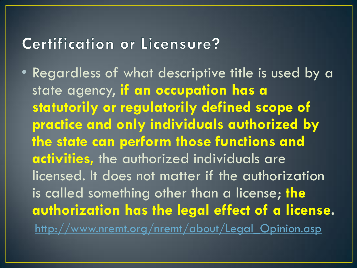### Certification or Licensure?

• Regardless of what descriptive title is used by a state agency, **if an occupation has a statutorily or regulatorily defined scope of practice and only individuals authorized by the state can perform those functions and activities,** the authorized individuals are licensed. It does not matter if the authorization is called something other than a license; **the authorization has the legal effect of a license.** http://www.nremt.org/nremt/about/Legal Opinion.asp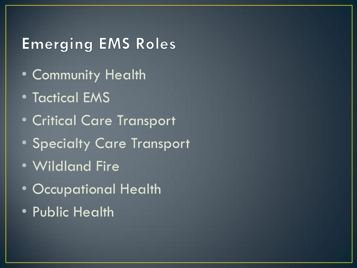# **Emerging EMS Roles**

- Community Health
- Tactical EMS
- Critical Care Transport
- Specialty Care Transport
- Wildland Fire
- Occupational Health
- Public Health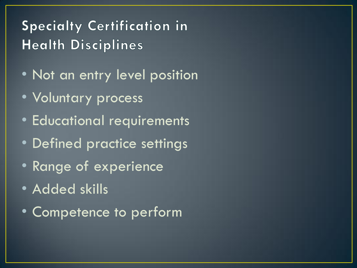# **Specialty Certification in Health Disciplines**

- Not an entry level position
- Voluntary process
- Educational requirements
- Defined practice settings
- Range of experience
- Added skills
- Competence to perform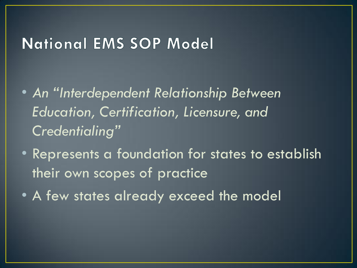#### **National EMS SOP Model**

- *An "Interdependent Relationship Between Education, Certification, Licensure, and Credentialing"*
- Represents a foundation for states to establish their own scopes of practice
- A few states already exceed the model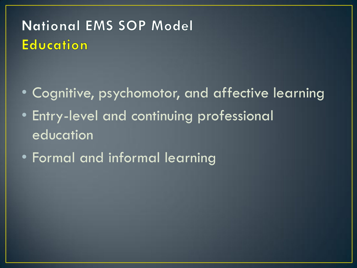# **National EMS SOP Model Education**

- Cognitive, psychomotor, and affective learning
- Entry-level and continuing professional education
- Formal and informal learning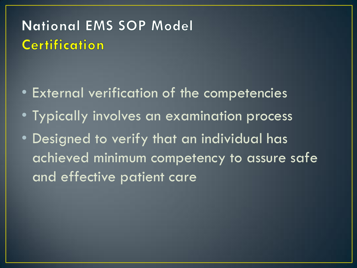# **National EMS SOP Model Certification**

- External verification of the competencies
- Typically involves an examination process
- Designed to verify that an individual has achieved minimum competency to assure safe and effective patient care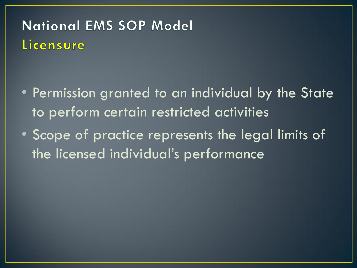# **National EMS SOP Model** Licensure

- Permission granted to an individual by the State to perform certain restricted activities
- Scope of practice represents the legal limits of the licensed individual's performance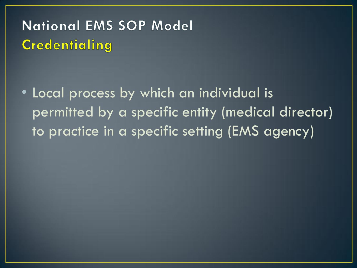# **National EMS SOP Model Credentialing**

• Local process by which an individual is permitted by a specific entity (medical director) to practice in a specific setting (EMS agency)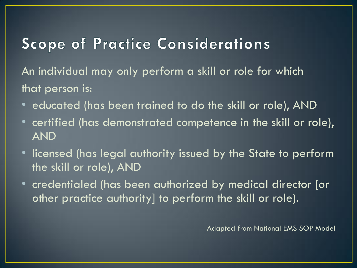#### **Scope of Practice Considerations**

An individual may only perform a skill or role for which that person is:

- educated (has been trained to do the skill or role), AND
- certified (has demonstrated competence in the skill or role), AND
- licensed (has legal authority issued by the State to perform the skill or role), AND
- credentialed (has been authorized by medical director [or other practice authority] to perform the skill or role).

Adapted from National EMS SOP Model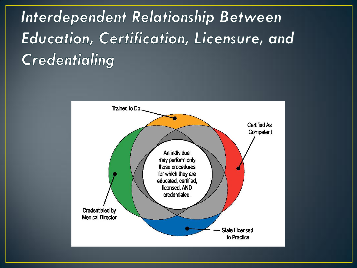Interdependent Relationship Between Education, Certification, Licensure, and **Credentialing** 

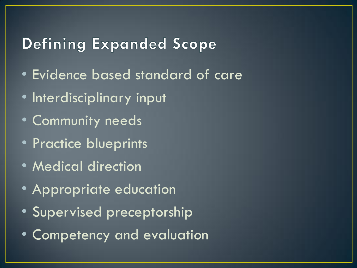#### **Defining Expanded Scope**

- Evidence based standard of care
- Interdisciplinary input
- Community needs
- Practice blueprints
- Medical direction
- Appropriate education
- Supervised preceptorship
- Competency and evaluation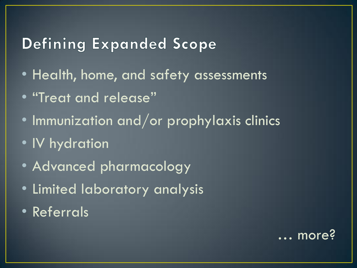#### **Defining Expanded Scope**

- Health, home, and safety assessments
- "Treat and release"
- Immunization and/or prophylaxis clinics
- IV hydration
- Advanced pharmacology
- Limited laboratory analysis
- Referrals

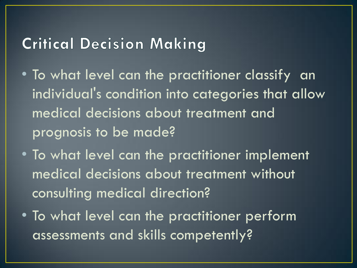#### **Critical Decision Making**

- To what level can the practitioner classify an individual's condition into categories that allow medical decisions about treatment and prognosis to be made?
- To what level can the practitioner implement medical decisions about treatment without consulting medical direction?
- To what level can the practitioner perform assessments and skills competently?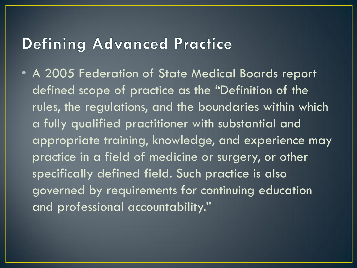#### **Defining Advanced Practice**

• A 2005 Federation of State Medical Boards report defined scope of practice as the "Definition of the rules, the regulations, and the boundaries within which a fully qualified practitioner with substantial and appropriate training, knowledge, and experience may practice in a field of medicine or surgery, or other specifically defined field. Such practice is also governed by requirements for continuing education and professional accountability."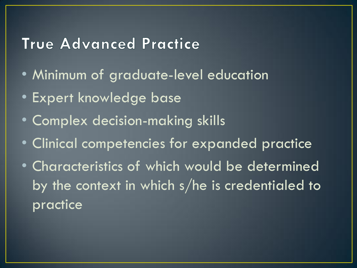### True Advanced Practice

- Minimum of graduate-level education
- Expert knowledge base
- Complex decision-making skills
- Clinical competencies for expanded practice
- Characteristics of which would be determined by the context in which s/he is credentialed to practice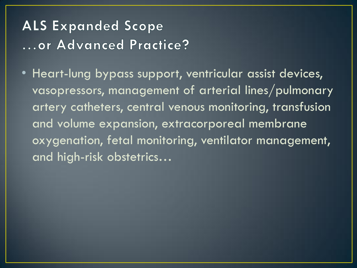# **ALS Expanded Scope** ... or Advanced Practice?

• Heart-lung bypass support, ventricular assist devices, vasopressors, management of arterial lines/pulmonary artery catheters, central venous monitoring, transfusion and volume expansion, extracorporeal membrane oxygenation, fetal monitoring, ventilator management, and high-risk obstetrics…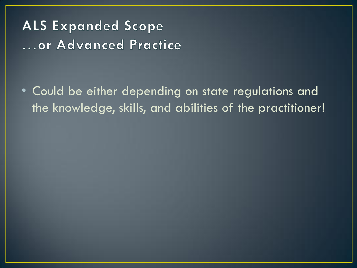**ALS Expanded Scope** ... or Advanced Practice

• Could be either depending on state regulations and the knowledge, skills, and abilities of the practitioner!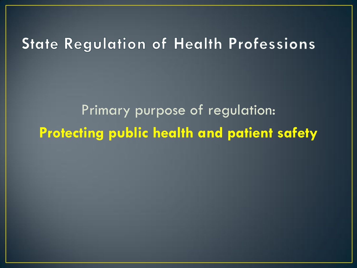### **State Regulation of Health Professions**

Primary purpose of regulation: **Protecting public health and patient safety**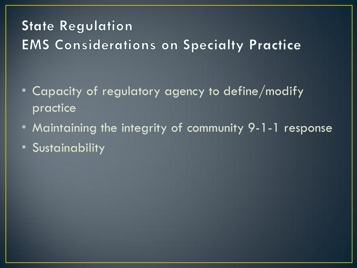# **State Regulation EMS Considerations on Specialty Practice**

- Capacity of regulatory agency to define/modify practice
- Maintaining the integrity of community 9-1-1 response
- Sustainability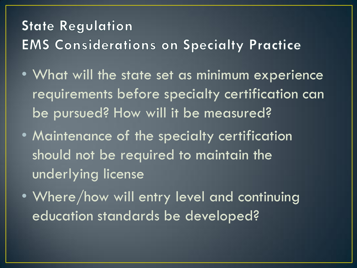# **State Regulation EMS Considerations on Specialty Practice**

- What will the state set as minimum experience requirements before specialty certification can be pursued? How will it be measured?
- Maintenance of the specialty certification should not be required to maintain the underlying license
- Where/how will entry level and continuing education standards be developed?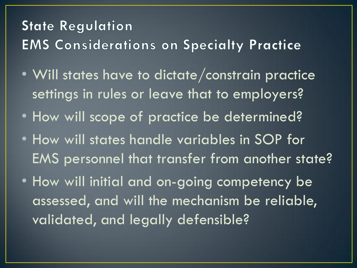# **State Regulation EMS Considerations on Specialty Practice**

- Will states have to dictate/constrain practice settings in rules or leave that to employers?
- How will scope of practice be determined?
- How will states handle variables in SOP for EMS personnel that transfer from another state?
- How will initial and on-going competency be assessed, and will the mechanism be reliable, validated, and legally defensible?